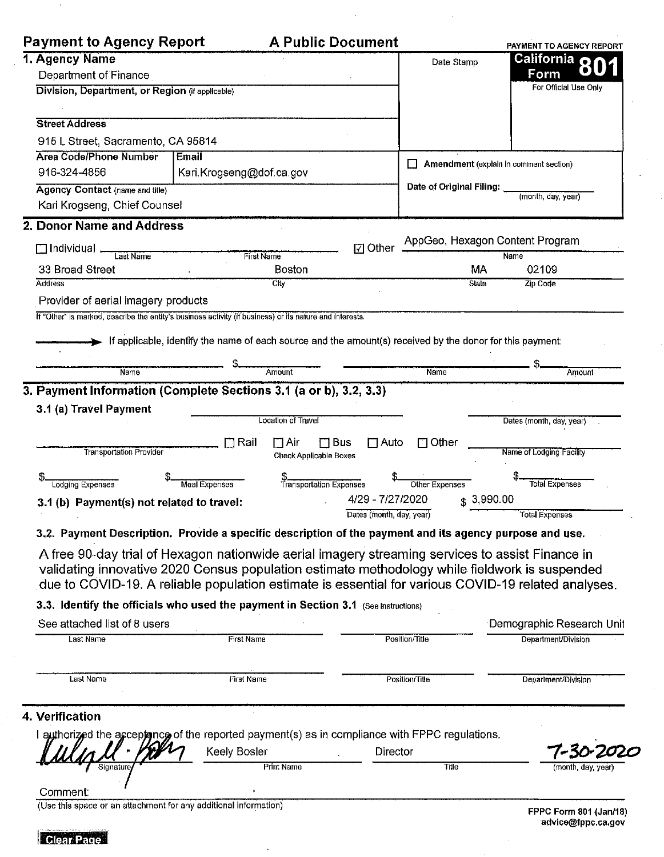|                                                                                                                                                                                                                                                                                                           |                          |                                                                                                           |                                        | PAYMENT TO AGENCY REPORT             |
|-----------------------------------------------------------------------------------------------------------------------------------------------------------------------------------------------------------------------------------------------------------------------------------------------------------|--------------------------|-----------------------------------------------------------------------------------------------------------|----------------------------------------|--------------------------------------|
| 1. Agency Name                                                                                                                                                                                                                                                                                            |                          |                                                                                                           | Date Stamp                             | California 80                        |
| Department of Finance                                                                                                                                                                                                                                                                                     |                          |                                                                                                           |                                        | <b>Form</b><br>For Official Use Only |
| Division, Department, or Region (if applicable)                                                                                                                                                                                                                                                           |                          |                                                                                                           |                                        |                                      |
| <b>Street Address</b>                                                                                                                                                                                                                                                                                     |                          |                                                                                                           |                                        |                                      |
| 915 L Street, Sacramento, CA 95814                                                                                                                                                                                                                                                                        |                          |                                                                                                           |                                        |                                      |
| <b>Area Code/Phone Number</b>                                                                                                                                                                                                                                                                             | Email                    |                                                                                                           |                                        |                                      |
| 916-324-4856                                                                                                                                                                                                                                                                                              | Kari Krogseng@dof.ca.gov |                                                                                                           | Amendment (explain in comment section) |                                      |
| <b>Agency Contact (name and title)</b>                                                                                                                                                                                                                                                                    |                          |                                                                                                           | Date of Original Filing:               | (month, day, year)                   |
| Karl Krogseng, Chief Counsel                                                                                                                                                                                                                                                                              |                          |                                                                                                           |                                        |                                      |
| 2. Donor Name and Address                                                                                                                                                                                                                                                                                 |                          |                                                                                                           |                                        |                                      |
| $\Box$ Individual<br>Last Name                                                                                                                                                                                                                                                                            | <b>First Name</b>        | $\boxdot$ Other                                                                                           | AppGeo, Hexagon Content Program        | Name                                 |
| 33 Broad Street                                                                                                                                                                                                                                                                                           |                          | <b>Boston</b>                                                                                             | МA                                     | 02109                                |
| Address                                                                                                                                                                                                                                                                                                   |                          | <b>Clty</b>                                                                                               | State                                  | <b>Zip Code</b>                      |
| Provider of aerial imagery products                                                                                                                                                                                                                                                                       |                          |                                                                                                           |                                        |                                      |
| If "Other" is marked, describe the entity's business activity (if business) or its nature and interests.                                                                                                                                                                                                  |                          |                                                                                                           |                                        |                                      |
|                                                                                                                                                                                                                                                                                                           |                          | If applicable, identify the name of each source and the amount(s) received by the donor for this payment: |                                        |                                      |
|                                                                                                                                                                                                                                                                                                           |                          |                                                                                                           |                                        |                                      |
| Name                                                                                                                                                                                                                                                                                                      |                          | Amount                                                                                                    | <b>Name</b>                            | Amount                               |
| <b>Transportation Provider</b>                                                                                                                                                                                                                                                                            | $\square$ Rail           | $\Box$ Air<br>$\square$ Bus<br>$\square$ Auto<br>Check Applicable Boxes                                   | $\Box$ Other                           | Name of Lodging Facility             |
| <b>Lodging Expenses</b>                                                                                                                                                                                                                                                                                   | <b>Meal Expenses</b>     | \$<br>Transportation Expenses                                                                             | Other Expenses                         | <b>Total Expenses</b>                |
| 4/29 - 7/27/2020<br>3.1 (b) Payment(s) not related to travel:                                                                                                                                                                                                                                             |                          |                                                                                                           | \$3,990.00                             |                                      |
|                                                                                                                                                                                                                                                                                                           |                          | Dates (month, day, year)                                                                                  |                                        |                                      |
|                                                                                                                                                                                                                                                                                                           |                          |                                                                                                           |                                        | <b>Total Expenses</b>                |
| 3.2. Payment Description. Provide a specific description of the payment and its agency purpose and use.                                                                                                                                                                                                   |                          |                                                                                                           |                                        |                                      |
| A free 90-day trial of Hexagon nationwide aerial imagery streaming services to assist Finance in<br>validating innovative 2020 Census population estimate methodology while fieldwork is suspended<br>due to COVID-19. A reliable population estimate is essential for various COVID-19 related analyses. |                          |                                                                                                           |                                        |                                      |
| 3.3. Identify the officials who used the payment in Section 3.1 (See instructions)                                                                                                                                                                                                                        |                          |                                                                                                           |                                        |                                      |
| See attached list of 8 users                                                                                                                                                                                                                                                                              |                          |                                                                                                           |                                        | Demographic Research Unit            |
| Last Name                                                                                                                                                                                                                                                                                                 | <b>First Name</b>        |                                                                                                           | Position/Title                         | Department/Division                  |
| Last Name                                                                                                                                                                                                                                                                                                 | First Name               |                                                                                                           | Position/Title                         | Department/Division                  |
|                                                                                                                                                                                                                                                                                                           |                          |                                                                                                           |                                        |                                      |
| 4. Verification                                                                                                                                                                                                                                                                                           |                          |                                                                                                           |                                        |                                      |
| I authorized the acceptonce of the reported payment(s) as in compliance with FPPC regulations.                                                                                                                                                                                                            |                          |                                                                                                           |                                        |                                      |
|                                                                                                                                                                                                                                                                                                           | Keely Bosler             | Director                                                                                                  | Title                                  |                                      |
| Signature<br>Comment:                                                                                                                                                                                                                                                                                     |                          | Print Name                                                                                                |                                        | (month, day yea                      |

 $\ddot{\phantom{a}}$ 



 $\mathcal{A}$